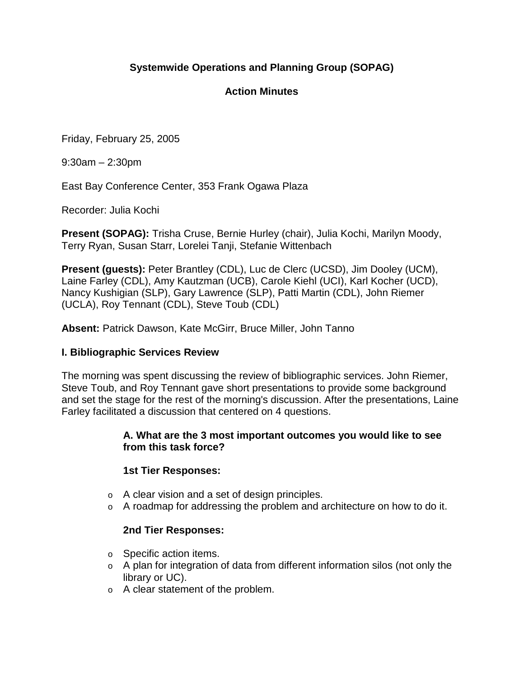# **Systemwide Operations and Planning Group (SOPAG)**

## **Action Minutes**

Friday, February 25, 2005

9:30am – 2:30pm

East Bay Conference Center, 353 Frank Ogawa Plaza

Recorder: Julia Kochi

**Present (SOPAG):** Trisha Cruse, Bernie Hurley (chair), Julia Kochi, Marilyn Moody, Terry Ryan, Susan Starr, Lorelei Tanji, Stefanie Wittenbach

**Present (guests):** Peter Brantley (CDL), Luc de Clerc (UCSD), Jim Dooley (UCM), Laine Farley (CDL), Amy Kautzman (UCB), Carole Kiehl (UCI), Karl Kocher (UCD), Nancy Kushigian (SLP), Gary Lawrence (SLP), Patti Martin (CDL), John Riemer (UCLA), Roy Tennant (CDL), Steve Toub (CDL)

**Absent:** Patrick Dawson, Kate McGirr, Bruce Miller, John Tanno

#### **I. Bibliographic Services Review**

The morning was spent discussing the review of bibliographic services. John Riemer, Steve Toub, and Roy Tennant gave short presentations to provide some background and set the stage for the rest of the morning's discussion. After the presentations, Laine Farley facilitated a discussion that centered on 4 questions.

#### **A. What are the 3 most important outcomes you would like to see from this task force?**

#### **1st Tier Responses:**

- o A clear vision and a set of design principles.
- $\circ$  A roadmap for addressing the problem and architecture on how to do it.

#### **2nd Tier Responses:**

- o Specific action items.
- $\circ$  A plan for integration of data from different information silos (not only the library or UC).
- o A clear statement of the problem.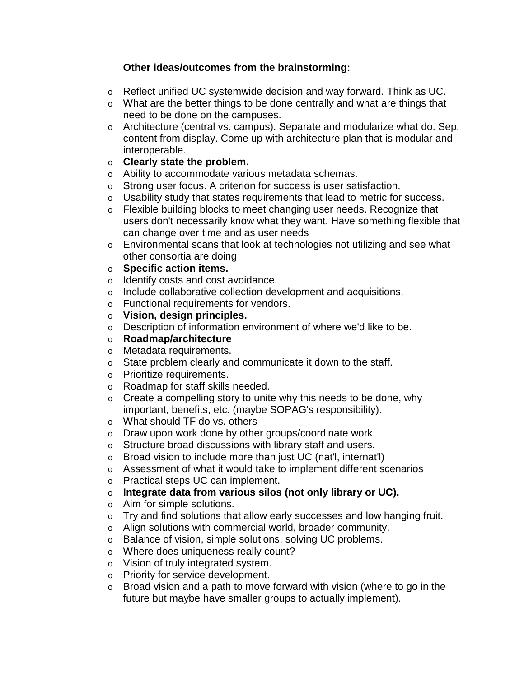## **Other ideas/outcomes from the brainstorming:**

- o Reflect unified UC systemwide decision and way forward. Think as UC.
- o What are the better things to be done centrally and what are things that need to be done on the campuses.
- o Architecture (central vs. campus). Separate and modularize what do. Sep. content from display. Come up with architecture plan that is modular and interoperable.
- o **Clearly state the problem.**
- o Ability to accommodate various metadata schemas.
- o Strong user focus. A criterion for success is user satisfaction.
- o Usability study that states requirements that lead to metric for success.
- o Flexible building blocks to meet changing user needs. Recognize that users don't necessarily know what they want. Have something flexible that can change over time and as user needs
- o Environmental scans that look at technologies not utilizing and see what other consortia are doing
- o **Specific action items.**
- o Identify costs and cost avoidance.
- o Include collaborative collection development and acquisitions.
- o Functional requirements for vendors.
- o **Vision, design principles.**
- o Description of information environment of where we'd like to be.
- o **Roadmap/architecture**
- o Metadata requirements.
- o State problem clearly and communicate it down to the staff.
- o Prioritize requirements.
- o Roadmap for staff skills needed.
- $\circ$  Create a compelling story to unite why this needs to be done, why important, benefits, etc. (maybe SOPAG's responsibility).
- o What should TF do vs. others
- o Draw upon work done by other groups/coordinate work.
- o Structure broad discussions with library staff and users.
- o Broad vision to include more than just UC (nat'l, internat'l)
- o Assessment of what it would take to implement different scenarios
- o Practical steps UC can implement.
- o **Integrate data from various silos (not only library or UC).**
- o Aim for simple solutions.
- o Try and find solutions that allow early successes and low hanging fruit.
- o Align solutions with commercial world, broader community.
- o Balance of vision, simple solutions, solving UC problems.
- o Where does uniqueness really count?
- o Vision of truly integrated system.
- o Priority for service development.
- o Broad vision and a path to move forward with vision (where to go in the future but maybe have smaller groups to actually implement).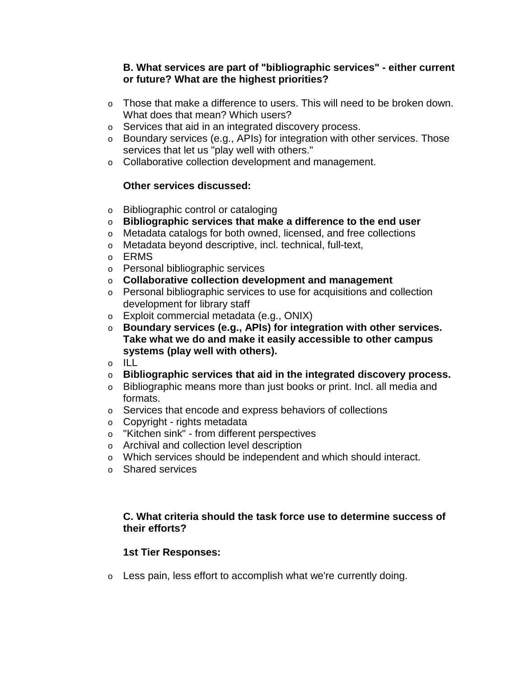#### **B. What services are part of "bibliographic services" - either current or future? What are the highest priorities?**

- o Those that make a difference to users. This will need to be broken down. What does that mean? Which users?
- o Services that aid in an integrated discovery process.
- o Boundary services (e.g., APIs) for integration with other services. Those services that let us "play well with others."
- o Collaborative collection development and management.

## **Other services discussed:**

- o Bibliographic control or cataloging
- o **Bibliographic services that make a difference to the end user**
- o Metadata catalogs for both owned, licensed, and free collections
- o Metadata beyond descriptive, incl. technical, full-text,
- o ERMS
- o Personal bibliographic services
- o **Collaborative collection development and management**
- o Personal bibliographic services to use for acquisitions and collection development for library staff
- o Exploit commercial metadata (e.g., ONIX)
- o **Boundary services (e.g., APIs) for integration with other services. Take what we do and make it easily accessible to other campus systems (play well with others).**
- o ILL
- o **Bibliographic services that aid in the integrated discovery process.**
- o Bibliographic means more than just books or print. Incl. all media and formats.
- o Services that encode and express behaviors of collections
- o Copyright rights metadata
- o "Kitchen sink" from different perspectives
- o Archival and collection level description
- o Which services should be independent and which should interact.
- o Shared services

## **C. What criteria should the task force use to determine success of their efforts?**

## **1st Tier Responses:**

 $\circ$  Less pain, less effort to accomplish what we're currently doing.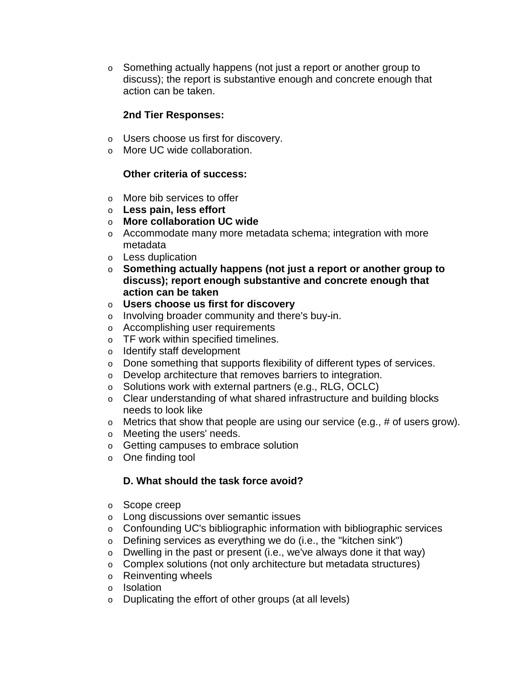$\circ$  Something actually happens (not just a report or another group to discuss); the report is substantive enough and concrete enough that action can be taken.

#### **2nd Tier Responses:**

- o Users choose us first for discovery.
- o More UC wide collaboration.

#### **Other criteria of success:**

- o More bib services to offer
- o **Less pain, less effort**
- o **More collaboration UC wide**
- o Accommodate many more metadata schema; integration with more metadata
- o Less duplication
- o **Something actually happens (not just a report or another group to discuss); report enough substantive and concrete enough that action can be taken**
- o **Users choose us first for discovery**
- o Involving broader community and there's buv-in.
- o Accomplishing user requirements
- o TF work within specified timelines.
- o Identify staff development
- o Done something that supports flexibility of different types of services.
- o Develop architecture that removes barriers to integration.
- o Solutions work with external partners (e.g., RLG, OCLC)
- o Clear understanding of what shared infrastructure and building blocks needs to look like
- $\circ$  Metrics that show that people are using our service (e.g., # of users grow).
- o Meeting the users' needs.
- o Getting campuses to embrace solution
- o One finding tool

## **D. What should the task force avoid?**

- o Scope creep
- o Long discussions over semantic issues
- o Confounding UC's bibliographic information with bibliographic services
- $\circ$  Defining services as everything we do (i.e., the "kitchen sink")
- $\circ$  Dwelling in the past or present (i.e., we've always done it that way)
- o Complex solutions (not only architecture but metadata structures)
- o Reinventing wheels
- o Isolation
- o Duplicating the effort of other groups (at all levels)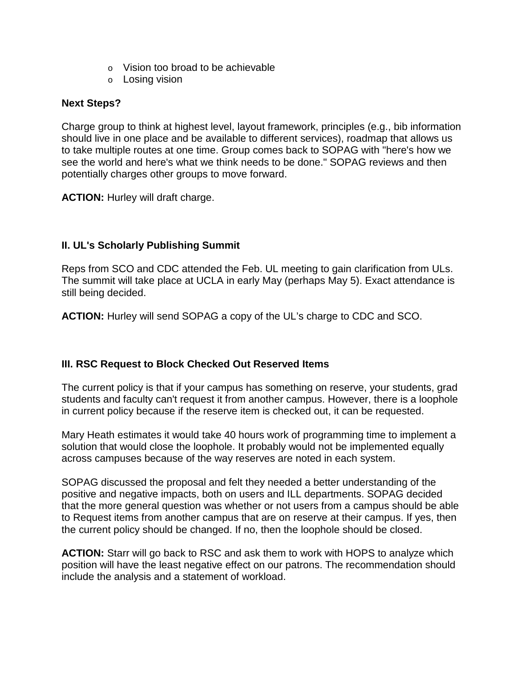- o Vision too broad to be achievable
- o Losing vision

#### **Next Steps?**

Charge group to think at highest level, layout framework, principles (e.g., bib information should live in one place and be available to different services), roadmap that allows us to take multiple routes at one time. Group comes back to SOPAG with "here's how we see the world and here's what we think needs to be done." SOPAG reviews and then potentially charges other groups to move forward.

**ACTION:** Hurley will draft charge.

## **II. UL's Scholarly Publishing Summit**

Reps from SCO and CDC attended the Feb. UL meeting to gain clarification from ULs. The summit will take place at UCLA in early May (perhaps May 5). Exact attendance is still being decided.

**ACTION:** Hurley will send SOPAG a copy of the UL's charge to CDC and SCO.

## **III. RSC Request to Block Checked Out Reserved Items**

The current policy is that if your campus has something on reserve, your students, grad students and faculty can't request it from another campus. However, there is a loophole in current policy because if the reserve item is checked out, it can be requested.

Mary Heath estimates it would take 40 hours work of programming time to implement a solution that would close the loophole. It probably would not be implemented equally across campuses because of the way reserves are noted in each system.

SOPAG discussed the proposal and felt they needed a better understanding of the positive and negative impacts, both on users and ILL departments. SOPAG decided that the more general question was whether or not users from a campus should be able to Request items from another campus that are on reserve at their campus. If yes, then the current policy should be changed. If no, then the loophole should be closed.

**ACTION:** Starr will go back to RSC and ask them to work with HOPS to analyze which position will have the least negative effect on our patrons. The recommendation should include the analysis and a statement of workload.